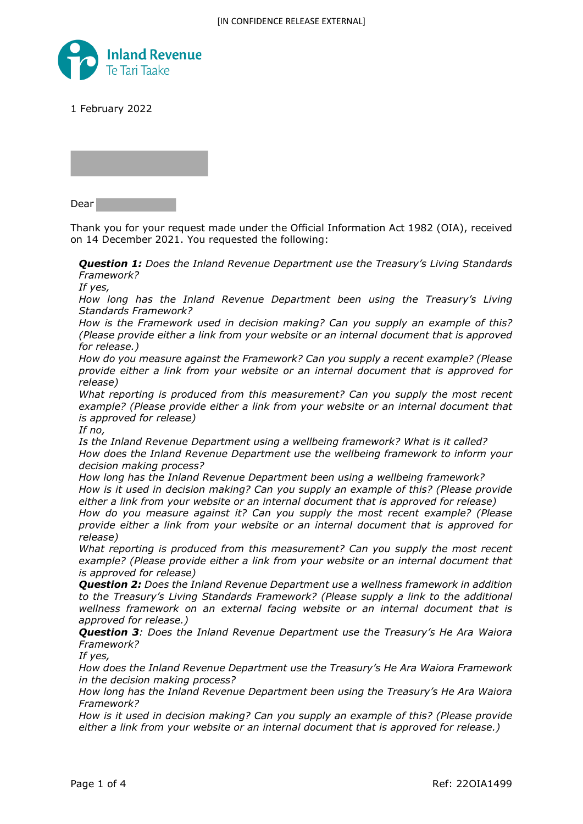

1 February 2022

Dear

Thank you for your request made under the Official Information Act 1982 (OIA), received on 14 December 2021. You requested the following:

*Question 1: Does the Inland Revenue Department use the Treasury's Living Standards Framework?*

*If yes,*

*How long has the Inland Revenue Department been using the Treasury's Living Standards Framework?*

*How is the Framework used in decision making? Can you supply an example of this? (Please provide either a link from your website or an internal document that is approved for release.)*

*How do you measure against the Framework? Can you supply a recent example? (Please provide either a link from your website or an internal document that is approved for release)*

*What reporting is produced from this measurement? Can you supply the most recent example? (Please provide either a link from your website or an internal document that is approved for release)*

*If no,*

*Is the Inland Revenue Department using a wellbeing framework? What is it called? How does the Inland Revenue Department use the wellbeing framework to inform your decision making process?*

*How long has the Inland Revenue Department been using a wellbeing framework? How is it used in decision making? Can you supply an example of this? (Please provide either a link from your website or an internal document that is approved for release)*

*How do you measure against it? Can you supply the most recent example? (Please provide either a link from your website or an internal document that is approved for release)*

*What reporting is produced from this measurement? Can you supply the most recent example? (Please provide either a link from your website or an internal document that is approved for release)*

*Question 2: Does the Inland Revenue Department use a wellness framework in addition to the Treasury's Living Standards Framework? (Please supply a link to the additional wellness framework on an external facing website or an internal document that is approved for release.)*

*Question 3: Does the Inland Revenue Department use the Treasury's He Ara Waiora Framework?*

*If yes,*

*How does the Inland Revenue Department use the Treasury's He Ara Waiora Framework in the decision making process?*

*How long has the Inland Revenue Department been using the Treasury's He Ara Waiora Framework?*

*How is it used in decision making? Can you supply an example of this? (Please provide either a link from your website or an internal document that is approved for release.)*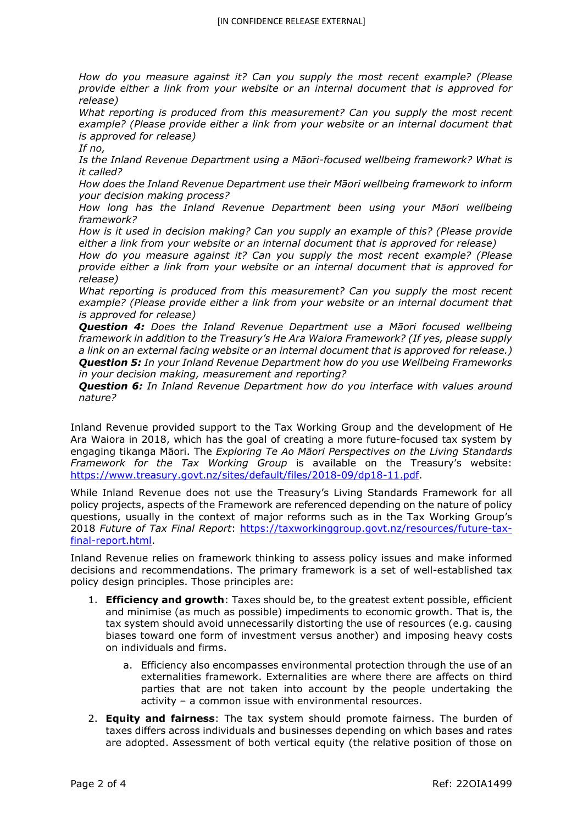*How do you measure against it? Can you supply the most recent example? (Please provide either a link from your website or an internal document that is approved for release)*

*What reporting is produced from this measurement? Can you supply the most recent example? (Please provide either a link from your website or an internal document that is approved for release)*

*If no,*

*Is the Inland Revenue Department using a Māori-focused wellbeing framework? What is it called?*

*How does the Inland Revenue Department use their Māori wellbeing framework to inform your decision making process?*

*How long has the Inland Revenue Department been using your Māori wellbeing framework?*

*How is it used in decision making? Can you supply an example of this? (Please provide either a link from your website or an internal document that is approved for release)*

*How do you measure against it? Can you supply the most recent example? (Please provide either a link from your website or an internal document that is approved for release)*

*What reporting is produced from this measurement? Can you supply the most recent example? (Please provide either a link from your website or an internal document that is approved for release)*

*Question 4: Does the Inland Revenue Department use a Māori focused wellbeing framework in addition to the Treasury's He Ara Waiora Framework? (If yes, please supply a link on an external facing website or an internal document that is approved for release.) Question 5: In your Inland Revenue Department how do you use Wellbeing Frameworks in your decision making, measurement and reporting?*

*Question 6: In Inland Revenue Department how do you interface with values around nature?*

Inland Revenue provided support to the Tax Working Group and the development of He Ara Waiora in 2018, which has the goal of creating a more future-focused tax system by engaging tikanga Māori. The *Exploring Te Ao Māori Perspectives on the Living Standards Framework for the Tax Working Group* is available on the Treasury's website: https://www.treasury.govt.nz/sites/default/files/2018-09/dp18-11.pdf.

While Inland Revenue does not use the Treasury's Living Standards Framework for all policy projects, aspects of the Framework are referenced depending on the nature of policy questions, usually in the context of major reforms such as in the Tax Working Group's 2018 *Future of Tax Final Report*: https://taxworkinggroup.govt.nz/resources/future-taxfinal-report.html.

Inland Revenue relies on framework thinking to assess policy issues and make informed decisions and recommendations. The primary framework is a set of well-established tax policy design principles. Those principles are:

- 1. **Efficiency and growth**: Taxes should be, to the greatest extent possible, efficient and minimise (as much as possible) impediments to economic growth. That is, the tax system should avoid unnecessarily distorting the use of resources (e.g. causing biases toward one form of investment versus another) and imposing heavy costs on individuals and firms.
	- a. Efficiency also encompasses environmental protection through the use of an externalities framework. Externalities are where there are affects on third parties that are not taken into account by the people undertaking the activity – a common issue with environmental resources.
- 2. **Equity and fairness**: The tax system should promote fairness. The burden of taxes differs across individuals and businesses depending on which bases and rates are adopted. Assessment of both vertical equity (the relative position of those on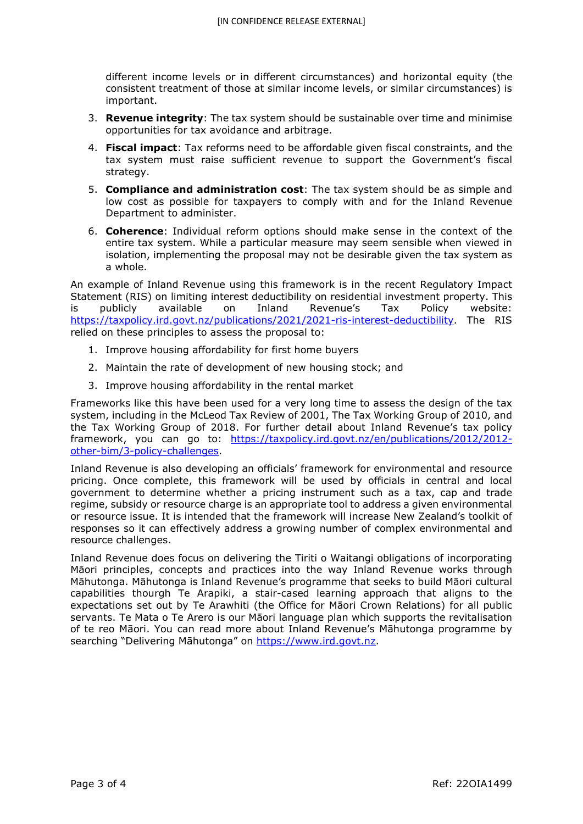different income levels or in different circumstances) and horizontal equity (the consistent treatment of those at similar income levels, or similar circumstances) is important.

- 3. **Revenue integrity**: The tax system should be sustainable over time and minimise opportunities for tax avoidance and arbitrage.
- 4. **Fiscal impact**: Tax reforms need to be affordable given fiscal constraints, and the tax system must raise sufficient revenue to support the Government's fiscal strategy.
- 5. **Compliance and administration cost**: The tax system should be as simple and low cost as possible for taxpayers to comply with and for the Inland Revenue Department to administer.
- 6. **Coherence**: Individual reform options should make sense in the context of the entire tax system. While a particular measure may seem sensible when viewed in isolation, implementing the proposal may not be desirable given the tax system as a whole.

An example of Inland Revenue using this framework is in the recent Regulatory Impact Statement (RIS) on limiting interest deductibility on residential investment property. This is publicly available on Inland Revenue's Tax Policy website: https://taxpolicy.ird.govt.nz/publications/2021/2021-ris-interest-deductibility. The RIS relied on these principles to assess the proposal to:

- 1. Improve housing affordability for first home buyers
- 2. Maintain the rate of development of new housing stock; and
- 3. Improve housing affordability in the rental market

Frameworks like this have been used for a very long time to assess the design of the tax system, including in the McLeod Tax Review of 2001, The Tax Working Group of 2010, and the Tax Working Group of 2018. For further detail about Inland Revenue's tax policy framework, you can go to: https://taxpolicy.ird.govt.nz/en/publications/2012/2012other-bim/3-policy-challenges.

Inland Revenue is also developing an officials' framework for environmental and resource pricing. Once complete, this framework will be used by officials in central and local government to determine whether a pricing instrument such as a tax, cap and trade regime, subsidy or resource charge is an appropriate tool to address a given environmental or resource issue. It is intended that the framework will increase New Zealand's toolkit of responses so it can effectively address a growing number of complex environmental and resource challenges.

Inland Revenue does focus on delivering the Tiriti o Waitangi obligations of incorporating Māori principles, concepts and practices into the way Inland Revenue works through Māhutonga. Māhutonga is Inland Revenue's programme that seeks to build Māori cultural capabilities thourgh Te Arapiki, a stair-cased learning approach that aligns to the expectations set out by Te Arawhiti (the Office for Māori Crown Relations) for all public servants. Te Mata o Te Arero is our Māori language plan which supports the revitalisation of te reo Māori. You can read more about Inland Revenue's Māhutonga programme by searching "Delivering Māhutonga" on https://www.ird.govt.nz.